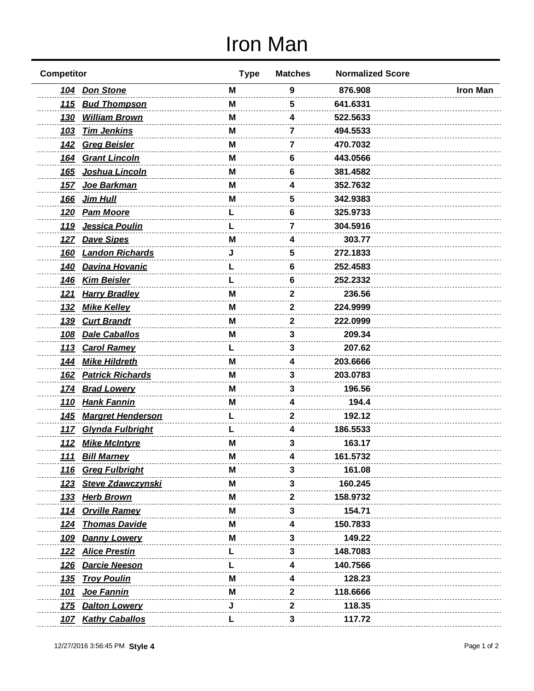## Iron Man

| <b>Competitor</b>                       | <b>Type</b> | <b>Matches</b> | <b>Normalized Score</b> |                 |
|-----------------------------------------|-------------|----------------|-------------------------|-----------------|
| <b>Don Stone</b><br><u>104</u>          | M           | 9              | 876.908                 | <b>Iron Man</b> |
| 115 Bud Thompson                        | м           | 5              | 641.6331                |                 |
| <u>130</u><br><b>William Brown</b>      | М           | 4              | 522.5633                |                 |
| <b>Tim Jenkins</b><br>103               | M           | 7              | 494.5533                |                 |
| 142 Greg Beisler                        | M           | 7              | 470.7032                |                 |
| <b>Grant Lincoln</b><br><u>164</u>      | м           | 6              | 443.0566                |                 |
| <u>Joshua Lincoln</u><br><u>165</u>     | M           | 6              | 381.4582                |                 |
| Joe Barkman<br><u>157</u>               | M           | 4              | 352.7632                |                 |
| <u>166</u><br>Jim Hull                  | м           | 5              | 342.9383                |                 |
| <u>120</u><br><u>Pam Moore</u>          |             | 6              | 325.9733                |                 |
| Jessica Poulin<br><u>119</u>            |             | 7              | 304.5916                |                 |
| 127 Dave Sipes                          | M           | 4              | 303.77                  |                 |
| <b>Landon Richards</b><br><u>160</u>    |             | 5              | 272.1833                |                 |
| <u>Davina Hovanic</u><br><u>140</u>     |             | 6              | 252.4583                |                 |
| <u>Kim Beisler</u><br><u>146</u>        |             | 6              | 252.2332                |                 |
| <b>Harry Bradley</b><br><u>121</u>      | м           | 2              | 236.56                  |                 |
| <u>132</u><br><u>Mike Kelley</u>        | м           | 2              | 224.9999                |                 |
| <b>Curt Brandt</b><br><u>139</u>        | M           | 2              | 222.0999                |                 |
| <b>Dale Caballos</b><br>108             | м           | 3              | 209.34                  |                 |
| <u>113</u><br><b>Carol Ramey</b>        |             | 3              | 207.62                  |                 |
| <b>Mike Hildreth</b><br><u> 144</u>     | м           | 4              | 203.6666                |                 |
| <b>Patrick Richards</b><br><u>162</u>   | м           | 3              | 203.0783                |                 |
| <b>Brad Lowery</b><br><u>174</u>        | M           | 3              | 196.56                  |                 |
| 110 Hank Fannin                         | М           | 4              | 194.4                   |                 |
| 145 Margret Henderson                   |             | 2              | 192.12                  |                 |
| 117 Glynda Fulbright                    |             | 4              | 186.5533                |                 |
| 112 Mike McIntyre                       | M           | 3              | 163.17                  |                 |
| <u>111</u><br><b>Bill Marney</b>        | <b>IVI</b>  |                | 161.5732                |                 |
| <b>Greg Fulbright</b><br><u>116</u>     | M           | 3              | 161.08                  |                 |
| <b>Steve Zdawczynski</b><br><u> 123</u> | м           | З              | 160.245                 |                 |
| <u>Herb Brown</u><br><u> 133</u>        | м           | 2              | 158.9732                |                 |
| 114 Orville Ramey                       | M           | 3              | 154.71                  |                 |
| <b>Thomas Davide</b><br><u> 124</u>     | M           |                | 150.7833                |                 |
| 109 Danny Lowery                        | M           | 3              | 149.22                  |                 |
| <b>Alice Prestin</b><br><u>122</u>      |             | 3              | 148.7083                |                 |
| <b>Darcie Neeson</b><br><u>126</u>      |             | 4              | 140.7566                |                 |
| <b>Troy Poulin</b><br><u>135</u>        | м           |                | 128.23                  |                 |
| <b>Joe Fannin</b><br><u> 101</u>        | M           | 2              | 118.6666                |                 |
| <b>Dalton Lowery</b><br><u>175</u>      | J           | 2              | 118.35                  |                 |
| <b>Kathy Caballos</b><br><u>107</u>     | L           | 3              | 117.72                  |                 |